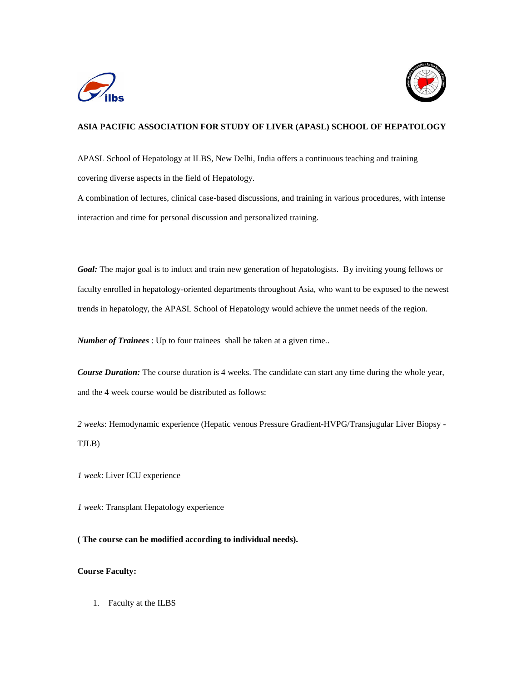



## **ASIA PACIFIC ASSOCIATION FOR STUDY OF LIVER (APASL) SCHOOL OF HEPATOLOGY**

APASL School of Hepatology at ILBS, New Delhi, India offers a continuous teaching and training covering diverse aspects in the field of Hepatology.

A combination of lectures, clinical case-based discussions, and training in various procedures, with intense interaction and time for personal discussion and personalized training.

*Goal:* The major goal is to induct and train new generation of hepatologists. By inviting young fellows or faculty enrolled in hepatology-oriented departments throughout Asia, who want to be exposed to the newest trends in hepatology, the APASL School of Hepatology would achieve the unmet needs of the region.

*Number of Trainees* : Up to four trainees shall be taken at a given time..

*Course Duration:* The course duration is 4 weeks. The candidate can start any time during the whole year, and the 4 week course would be distributed as follows:

*2 weeks*: Hemodynamic experience (Hepatic venous Pressure Gradient-HVPG/Transjugular Liver Biopsy - TJLB)

*1 week*: Liver ICU experience

*1 week*: Transplant Hepatology experience

**( The course can be modified according to individual needs).**

## **Course Faculty:**

1. Faculty at the ILBS